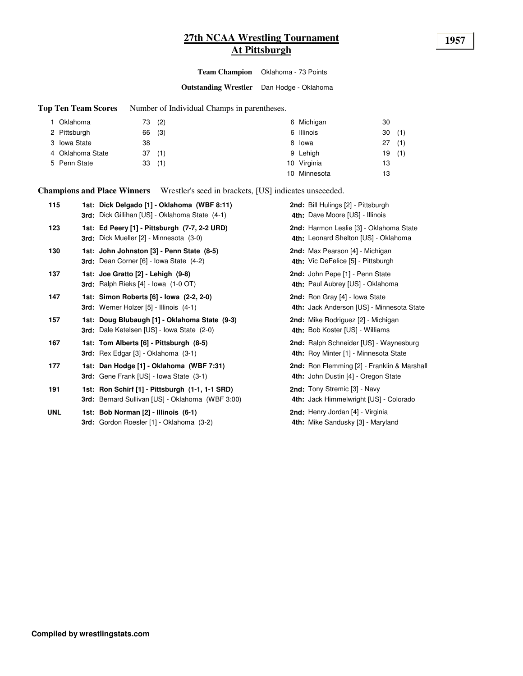# **27th NCAA Wrestling Tournament 1957 At Pittsburgh**

**Team Champion** Oklahoma - 73 Points

**Outstanding Wrestler** Dan Hodge - Oklahoma

**Top Ten Team Scores** Number of Individual Champs in parentheses.

| Oklahoma         | 73 (2) | 6 Michigan   | 30        |
|------------------|--------|--------------|-----------|
| 2 Pittsburgh     | 66 (3) | 6 Illinois   | (1)<br>30 |
| 3 Iowa State     | 38     | 8 lowa       | (1)<br>27 |
| 4 Oklahoma State | 37(1)  | 9 Lehigh     | (1)<br>19 |
| 5 Penn State     | 33(1)  | 10 Virginia  | 13        |
|                  |        | 10 Minnesota | 13        |

**Champions and Place Winners** Wrestler's seed in brackets, [US] indicates unseeeded.

| 115        | 1st: Dick Delgado [1] - Oklahoma (WBF 8:11)<br>3rd: Dick Gillihan [US] - Oklahoma State (4-1)       | 2nd: Bill Hulings [2] - Pittsburgh<br>4th: Dave Moore [US] - Illinois              |
|------------|-----------------------------------------------------------------------------------------------------|------------------------------------------------------------------------------------|
| 123        | 1st: Ed Peery [1] - Pittsburgh (7-7, 2-2 URD)<br><b>3rd:</b> Dick Mueller [2] - Minnesota (3-0)     | 2nd: Harmon Leslie [3] - Oklahoma State<br>4th: Leonard Shelton [US] - Oklahoma    |
| 130        | 1st: John Johnston [3] - Penn State (8-5)<br><b>3rd:</b> Dean Corner [6] - Iowa State (4-2)         | 2nd: Max Pearson [4] - Michigan<br>4th: Vic DeFelice [5] - Pittsburgh              |
| 137        | 1st: Joe Gratto [2] - Lehigh (9-8)<br>3rd: Ralph Rieks $[4]$ - lowa $(1-0$ OT)                      | 2nd: John Pepe [1] - Penn State<br>4th: Paul Aubrey [US] - Oklahoma                |
| 147        | 1st: Simon Roberts [6] - Iowa (2-2, 2-0)<br>3rd: Werner Holzer [5] - Illinois (4-1)                 | 2nd: Ron Gray [4] - Iowa State<br>4th: Jack Anderson [US] - Minnesota State        |
| 157        | 1st: Doug Blubaugh [1] - Oklahoma State (9-3)<br><b>3rd:</b> Dale Ketelsen [US] - Iowa State (2-0)  | 2nd: Mike Rodriguez [2] - Michigan<br>4th: Bob Koster [US] - Williams              |
| 167        | 1st: Tom Alberts [6] - Pittsburgh (8-5)<br><b>3rd:</b> Rex Edgar $[3]$ - Oklahoma $(3-1)$           | 2nd: Ralph Schneider [US] - Waynesburg<br>4th: Roy Minter [1] - Minnesota State    |
| 177        | 1st: Dan Hodge [1] - Oklahoma (WBF 7:31)<br>3rd: Gene Frank [US] - Iowa State (3-1)                 | 2nd: Ron Flemming [2] - Franklin & Marshall<br>4th: John Dustin [4] - Oregon State |
| 191        | 1st: Ron Schirf [1] - Pittsburgh (1-1, 1-1 SRD)<br>3rd: Bernard Sullivan [US] - Oklahoma (WBF 3:00) | 2nd: Tony Stremic [3] - Navy<br>4th: Jack Himmelwright [US] - Colorado             |
| <b>UNL</b> | 1st: Bob Norman [2] - Illinois (6-1)<br>3rd: Gordon Roesler [1] - Oklahoma (3-2)                    | 2nd: Henry Jordan [4] - Virginia<br>4th: Mike Sandusky [3] - Maryland              |
|            |                                                                                                     |                                                                                    |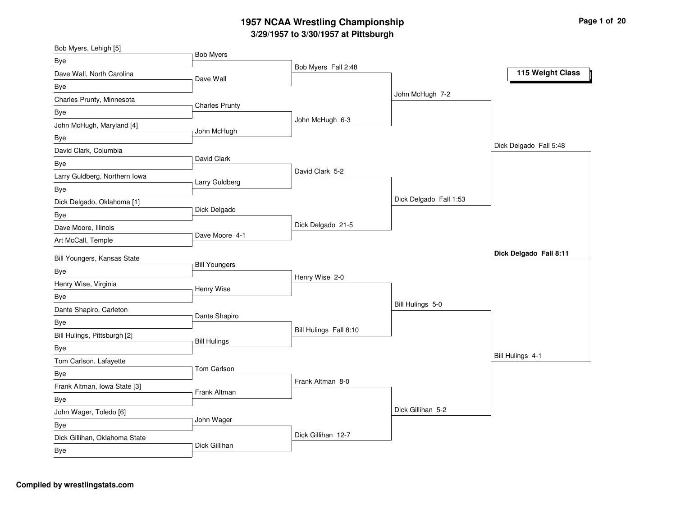| Bob Myers, Lehigh [5]         |                       |                        |                        |                        |
|-------------------------------|-----------------------|------------------------|------------------------|------------------------|
| Bye                           | <b>Bob Myers</b>      |                        |                        |                        |
| Dave Wall, North Carolina     | Dave Wall             | Bob Myers Fall 2:48    |                        | 115 Weight Class       |
| Bye                           |                       |                        |                        |                        |
| Charles Prunty, Minnesota     |                       |                        | John McHugh 7-2        |                        |
| Bye                           | <b>Charles Prunty</b> |                        |                        |                        |
| John McHugh, Maryland [4]     |                       | John McHugh 6-3        |                        |                        |
| Bye                           | John McHugh           |                        |                        |                        |
| David Clark, Columbia         |                       |                        |                        | Dick Delgado Fall 5:48 |
| Bye                           | David Clark           |                        |                        |                        |
| Larry Guldberg, Northern Iowa |                       | David Clark 5-2        |                        |                        |
| Bye                           | Larry Guldberg        |                        |                        |                        |
| Dick Delgado, Oklahoma [1]    |                       |                        | Dick Delgado Fall 1:53 |                        |
| Bye                           | Dick Delgado          |                        |                        |                        |
| Dave Moore, Illinois          |                       | Dick Delgado 21-5      |                        |                        |
| Art McCall, Temple            | Dave Moore 4-1        |                        |                        |                        |
| Bill Youngers, Kansas State   |                       |                        |                        | Dick Delgado Fall 8:11 |
|                               | <b>Bill Youngers</b>  |                        |                        |                        |
| Bye<br>Henry Wise, Virginia   |                       | Henry Wise 2-0         |                        |                        |
|                               | Henry Wise            |                        |                        |                        |
| Bye                           |                       |                        | Bill Hulings 5-0       |                        |
| Dante Shapiro, Carleton       | Dante Shapiro         |                        |                        |                        |
| Bye                           |                       | Bill Hulings Fall 8:10 |                        |                        |
| Bill Hulings, Pittsburgh [2]  | <b>Bill Hulings</b>   |                        |                        |                        |
| Bye                           |                       |                        |                        | Bill Hulings 4-1       |
| Tom Carlson, Lafayette        | Tom Carlson           |                        |                        |                        |
| Bye                           |                       | Frank Altman 8-0       |                        |                        |
| Frank Altman, Iowa State [3]  | Frank Altman          |                        |                        |                        |
| <b>Bye</b>                    |                       |                        | Dick Gillihan 5-2      |                        |
| John Wager, Toledo [6]        | John Wager            |                        |                        |                        |
| Bye                           |                       | Dick Gillihan 12-7     |                        |                        |
| Dick Gillihan, Oklahoma State | Dick Gillihan         |                        |                        |                        |
| Bye                           |                       |                        |                        |                        |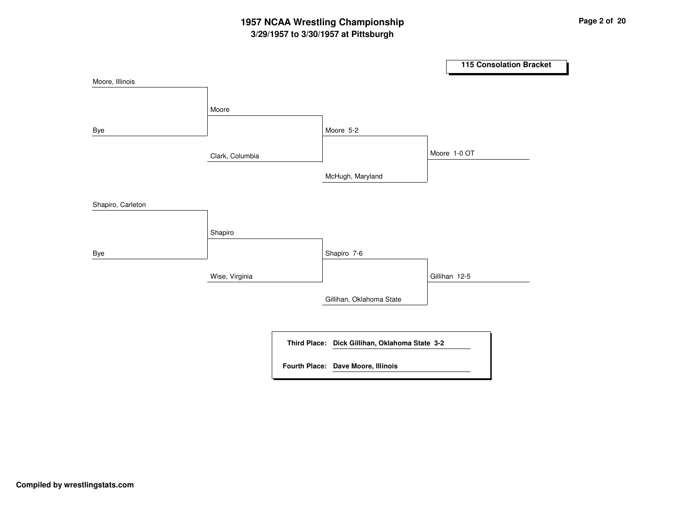# **3/29/1957 to 3/30/1957 at Pittsburgh 1957 NCAA Wrestling Championship Page <sup>2</sup> of <sup>20</sup>**

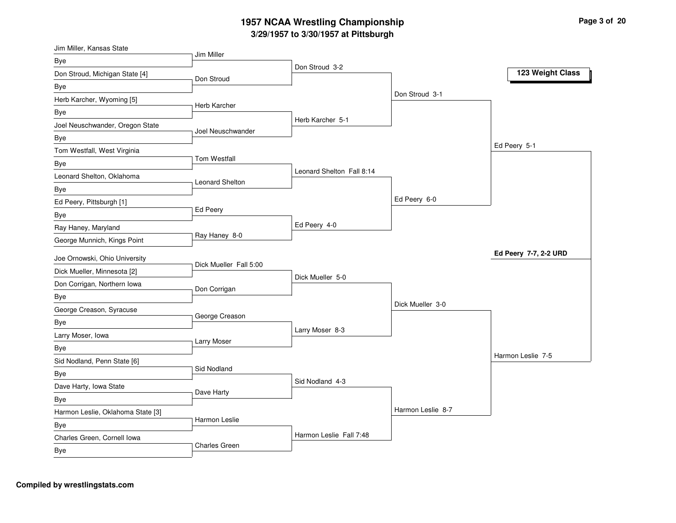| Jim Miller, Kansas State          |                        |                           |                   |                       |
|-----------------------------------|------------------------|---------------------------|-------------------|-----------------------|
| Bye                               | Jim Miller             |                           |                   |                       |
| Don Stroud, Michigan State [4]    | Don Stroud             | Don Stroud 3-2            |                   | 123 Weight Class      |
| Bye                               |                        |                           |                   |                       |
| Herb Karcher, Wyoming [5]         |                        |                           | Don Stroud 3-1    |                       |
| Bye                               | Herb Karcher           |                           |                   |                       |
| Joel Neuschwander, Oregon State   |                        | Herb Karcher 5-1          |                   |                       |
| Bye                               | Joel Neuschwander      |                           |                   |                       |
| Tom Westfall, West Virginia       |                        |                           |                   | Ed Peery 5-1          |
| Bye                               | Tom Westfall           |                           |                   |                       |
| Leonard Shelton, Oklahoma         |                        | Leonard Shelton Fall 8:14 |                   |                       |
| Bye                               | Leonard Shelton        |                           |                   |                       |
| Ed Peery, Pittsburgh [1]          |                        |                           | Ed Peery 6-0      |                       |
| Bye                               | <b>Ed Peery</b>        |                           |                   |                       |
| Ray Haney, Maryland               |                        | Ed Peery 4-0              |                   |                       |
| George Munnich, Kings Point       | Ray Haney 8-0          |                           |                   |                       |
| Joe Ornowski, Ohio University     |                        |                           |                   | Ed Peery 7-7, 2-2 URD |
| Dick Mueller, Minnesota [2]       | Dick Mueller Fall 5:00 |                           |                   |                       |
|                                   |                        | Dick Mueller 5-0          |                   |                       |
| Don Corrigan, Northern Iowa       | Don Corrigan           |                           |                   |                       |
| Bye                               |                        |                           | Dick Mueller 3-0  |                       |
| George Creason, Syracuse          | George Creason         |                           |                   |                       |
| Bye                               |                        | Larry Moser 8-3           |                   |                       |
| Larry Moser, Iowa                 | Larry Moser            |                           |                   |                       |
| Bye                               |                        |                           |                   | Harmon Leslie 7-5     |
| Sid Nodland, Penn State [6]       | Sid Nodland            |                           |                   |                       |
| Bye                               |                        | Sid Nodland 4-3           |                   |                       |
| Dave Harty, Iowa State            | Dave Harty             |                           |                   |                       |
| <b>Bye</b>                        |                        |                           | Harmon Leslie 8-7 |                       |
| Harmon Leslie, Oklahoma State [3] | Harmon Leslie          |                           |                   |                       |
| Bye                               |                        | Harmon Leslie Fall 7:48   |                   |                       |
| Charles Green, Cornell Iowa       | <b>Charles Green</b>   |                           |                   |                       |
| Bye                               |                        |                           |                   |                       |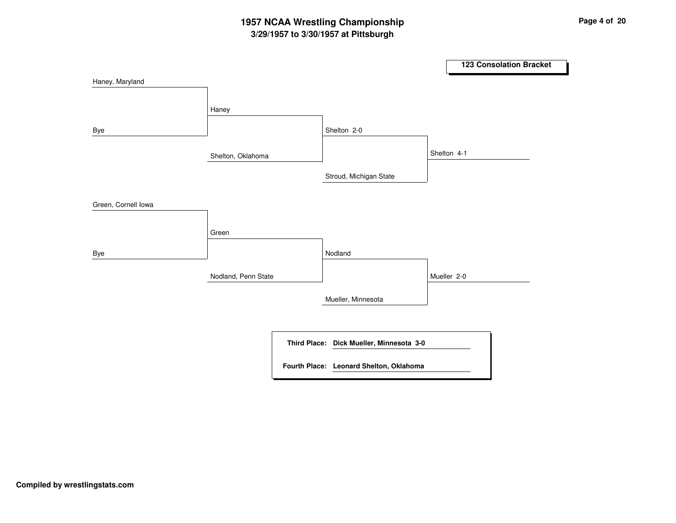# **3/29/1957 to 3/30/1957 at Pittsburgh 1957 NCAA Wrestling Championship Page <sup>4</sup> of <sup>20</sup>**

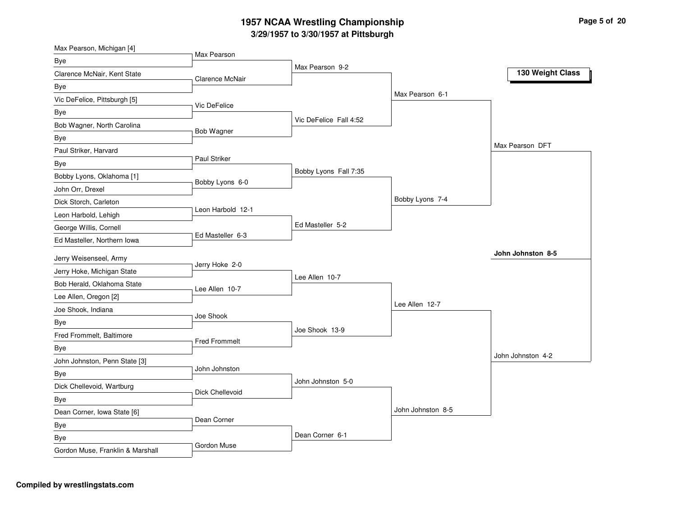| Max Pearson, Michigan [4]               |                      |                        |                   |                   |
|-----------------------------------------|----------------------|------------------------|-------------------|-------------------|
| Bye                                     | Max Pearson          | Max Pearson 9-2        |                   |                   |
| Clarence McNair, Kent State             | Clarence McNair      |                        |                   | 130 Weight Class  |
| Bye                                     |                      |                        |                   |                   |
| Vic DeFelice, Pittsburgh [5]            |                      |                        | Max Pearson 6-1   |                   |
| Bye                                     | Vic DeFelice         |                        |                   |                   |
| Bob Wagner, North Carolina              |                      | Vic DeFelice Fall 4:52 |                   |                   |
| Bye                                     | Bob Wagner           |                        |                   |                   |
| Paul Striker, Harvard                   |                      |                        |                   | Max Pearson DFT   |
| Bye                                     | Paul Striker         |                        |                   |                   |
| Bobby Lyons, Oklahoma [1]               | Bobby Lyons 6-0      | Bobby Lyons Fall 7:35  |                   |                   |
| John Orr, Drexel                        |                      |                        |                   |                   |
| Dick Storch, Carleton                   |                      |                        | Bobby Lyons 7-4   |                   |
| Leon Harbold, Lehigh                    | Leon Harbold 12-1    |                        |                   |                   |
| George Willis, Cornell                  |                      | Ed Masteller 5-2       |                   |                   |
| Ed Masteller, Northern Iowa             | Ed Masteller 6-3     |                        |                   |                   |
|                                         |                      |                        |                   |                   |
|                                         |                      |                        |                   | John Johnston 8-5 |
| Jerry Weisenseel, Army                  | Jerry Hoke 2-0       |                        |                   |                   |
| Jerry Hoke, Michigan State              |                      | Lee Allen 10-7         |                   |                   |
| Bob Herald, Oklahoma State              | Lee Allen 10-7       |                        |                   |                   |
| Lee Allen, Oregon [2]                   |                      |                        | Lee Allen 12-7    |                   |
| Joe Shook, Indiana                      | Joe Shook            |                        |                   |                   |
| <b>Bye</b>                              |                      | Joe Shook 13-9         |                   |                   |
| Fred Frommelt, Baltimore                | <b>Fred Frommelt</b> |                        |                   |                   |
| Bye                                     |                      |                        |                   | John Johnston 4-2 |
| John Johnston, Penn State [3]           | John Johnston        |                        |                   |                   |
| Bye                                     |                      | John Johnston 5-0      |                   |                   |
| Dick Chellevoid, Wartburg               | Dick Chellevoid      |                        |                   |                   |
| Bye                                     |                      |                        | John Johnston 8-5 |                   |
| Dean Corner, Iowa State [6]             | Dean Corner          |                        |                   |                   |
| Bye                                     |                      | Dean Corner 6-1        |                   |                   |
| Bye<br>Gordon Muse, Franklin & Marshall | Gordon Muse          |                        |                   |                   |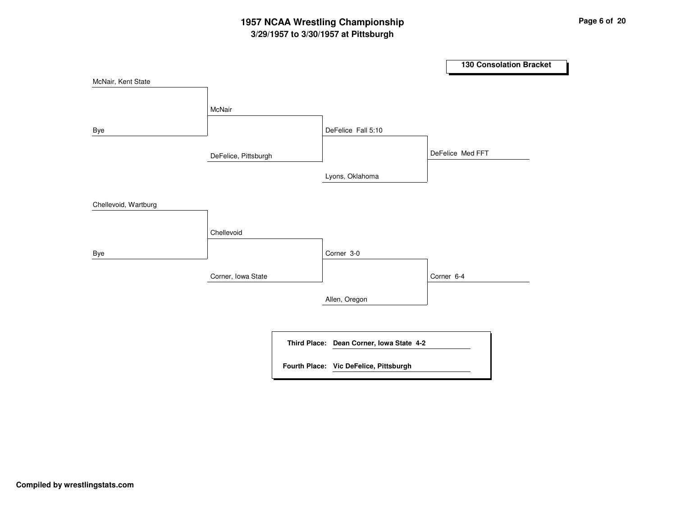# **3/29/1957 to 3/30/1957 at Pittsburgh 1957 NCAA Wrestling Championship Page <sup>6</sup> of <sup>20</sup>**

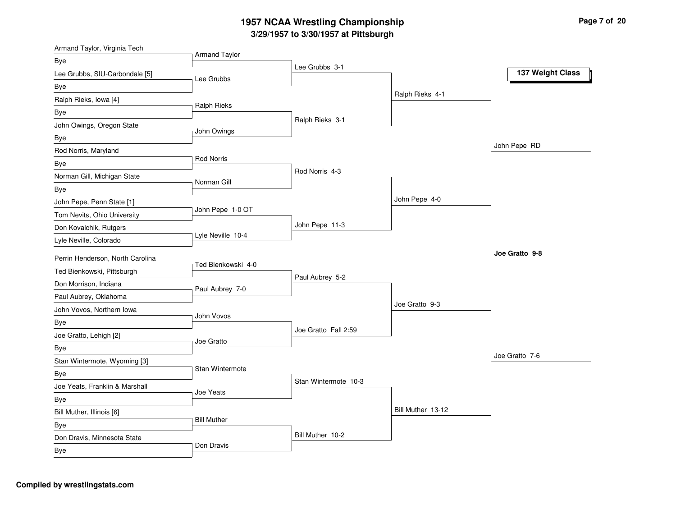| Armand Taylor, Virginia Tech       | <b>Armand Taylor</b> |                      |                   |                  |
|------------------------------------|----------------------|----------------------|-------------------|------------------|
| Bye                                |                      | Lee Grubbs 3-1       |                   |                  |
| Lee Grubbs, SIU-Carbondale [5]     | Lee Grubbs           |                      |                   | 137 Weight Class |
| Bye                                |                      |                      |                   |                  |
| Ralph Rieks, Iowa [4]              |                      |                      | Ralph Rieks 4-1   |                  |
| Bye                                | Ralph Rieks          |                      |                   |                  |
| John Owings, Oregon State          |                      | Ralph Rieks 3-1      |                   |                  |
| Bye                                | John Owings          |                      |                   |                  |
| Rod Norris, Maryland               |                      |                      |                   | John Pepe RD     |
| Bye                                | <b>Rod Norris</b>    |                      |                   |                  |
| Norman Gill, Michigan State        | Norman Gill          | Rod Norris 4-3       |                   |                  |
| Bye                                |                      |                      |                   |                  |
| John Pepe, Penn State [1]          |                      |                      | John Pepe 4-0     |                  |
| Tom Nevits, Ohio University        | John Pepe 1-0 OT     |                      |                   |                  |
| Don Kovalchik, Rutgers             |                      | John Pepe 11-3       |                   |                  |
| Lyle Neville, Colorado             | Lyle Neville 10-4    |                      |                   |                  |
| Perrin Henderson, North Carolina   |                      |                      |                   | Joe Gratto 9-8   |
| Ted Bienkowski, Pittsburgh         | Ted Bienkowski 4-0   |                      |                   |                  |
| Don Morrison, Indiana              |                      | Paul Aubrey 5-2      |                   |                  |
| Paul Aubrey, Oklahoma              | Paul Aubrey 7-0      |                      |                   |                  |
| John Vovos, Northern Iowa          |                      |                      | Joe Gratto 9-3    |                  |
| Bye                                | John Vovos           |                      |                   |                  |
| Joe Gratto, Lehigh [2]             |                      | Joe Gratto Fall 2:59 |                   |                  |
| Bye                                | Joe Gratto           |                      |                   |                  |
| Stan Wintermote, Wyoming [3]       |                      |                      |                   | Joe Gratto 7-6   |
| Bye                                | Stan Wintermote      |                      |                   |                  |
| Joe Yeats, Franklin & Marshall     |                      | Stan Wintermote 10-3 |                   |                  |
|                                    | Joe Yeats            |                      |                   |                  |
| Bye                                |                      |                      | Bill Muther 13-12 |                  |
| Bill Muther, Illinois [6]          | <b>Bill Muther</b>   |                      |                   |                  |
| Bye                                |                      | Bill Muther 10-2     |                   |                  |
| Don Dravis, Minnesota State<br>Bye | Don Dravis           |                      |                   |                  |
|                                    |                      |                      |                   |                  |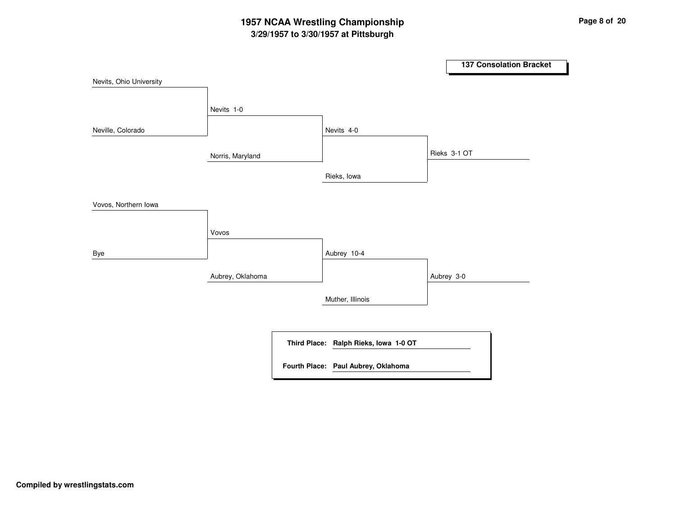# **3/29/1957 to 3/30/1957 at Pittsburgh 1957 NCAA Wrestling Championship Page <sup>8</sup> of <sup>20</sup>**

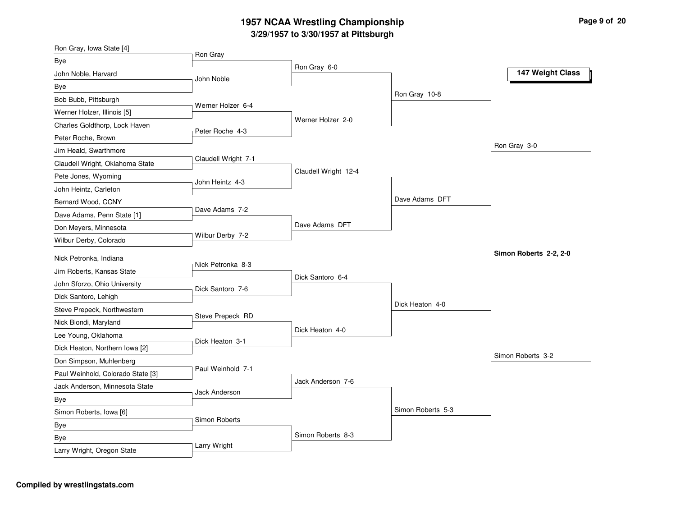| Ron Gray<br>Bye<br>Ron Gray 6-0<br>147 Weight Class<br>John Noble, Harvard<br>John Noble<br>Bye<br>Ron Gray 10-8<br>Bob Bubb, Pittsburgh<br>Werner Holzer 6-4<br>Werner Holzer, Illinois [5]<br>Werner Holzer 2-0<br>Charles Goldthorp, Lock Haven<br>Peter Roche 4-3<br>Peter Roche, Brown<br>Ron Gray 3-0<br>Jim Heald, Swarthmore<br>Claudell Wright 7-1<br>Claudell Wright, Oklahoma State<br>Claudell Wright 12-4<br>Pete Jones, Wyoming<br>John Heintz 4-3<br>John Heintz, Carleton<br>Dave Adams DFT<br>Bernard Wood, CCNY<br>Dave Adams 7-2<br>Dave Adams, Penn State [1]<br>Dave Adams DFT<br>Don Meyers, Minnesota<br>Wilbur Derby 7-2<br>Wilbur Derby, Colorado |
|----------------------------------------------------------------------------------------------------------------------------------------------------------------------------------------------------------------------------------------------------------------------------------------------------------------------------------------------------------------------------------------------------------------------------------------------------------------------------------------------------------------------------------------------------------------------------------------------------------------------------------------------------------------------------|
|                                                                                                                                                                                                                                                                                                                                                                                                                                                                                                                                                                                                                                                                            |
|                                                                                                                                                                                                                                                                                                                                                                                                                                                                                                                                                                                                                                                                            |
|                                                                                                                                                                                                                                                                                                                                                                                                                                                                                                                                                                                                                                                                            |
|                                                                                                                                                                                                                                                                                                                                                                                                                                                                                                                                                                                                                                                                            |
|                                                                                                                                                                                                                                                                                                                                                                                                                                                                                                                                                                                                                                                                            |
|                                                                                                                                                                                                                                                                                                                                                                                                                                                                                                                                                                                                                                                                            |
|                                                                                                                                                                                                                                                                                                                                                                                                                                                                                                                                                                                                                                                                            |
|                                                                                                                                                                                                                                                                                                                                                                                                                                                                                                                                                                                                                                                                            |
|                                                                                                                                                                                                                                                                                                                                                                                                                                                                                                                                                                                                                                                                            |
|                                                                                                                                                                                                                                                                                                                                                                                                                                                                                                                                                                                                                                                                            |
|                                                                                                                                                                                                                                                                                                                                                                                                                                                                                                                                                                                                                                                                            |
|                                                                                                                                                                                                                                                                                                                                                                                                                                                                                                                                                                                                                                                                            |
|                                                                                                                                                                                                                                                                                                                                                                                                                                                                                                                                                                                                                                                                            |
|                                                                                                                                                                                                                                                                                                                                                                                                                                                                                                                                                                                                                                                                            |
|                                                                                                                                                                                                                                                                                                                                                                                                                                                                                                                                                                                                                                                                            |
| Simon Roberts 2-2, 2-0<br>Nick Petronka, Indiana                                                                                                                                                                                                                                                                                                                                                                                                                                                                                                                                                                                                                           |
| Nick Petronka 8-3<br>Jim Roberts, Kansas State                                                                                                                                                                                                                                                                                                                                                                                                                                                                                                                                                                                                                             |
| Dick Santoro 6-4<br>John Sforzo, Ohio University                                                                                                                                                                                                                                                                                                                                                                                                                                                                                                                                                                                                                           |
| Dick Santoro 7-6<br>Dick Santoro, Lehigh                                                                                                                                                                                                                                                                                                                                                                                                                                                                                                                                                                                                                                   |
| Dick Heaton 4-0<br>Steve Prepeck, Northwestern                                                                                                                                                                                                                                                                                                                                                                                                                                                                                                                                                                                                                             |
| Steve Prepeck RD<br>Nick Biondi, Maryland                                                                                                                                                                                                                                                                                                                                                                                                                                                                                                                                                                                                                                  |
| Dick Heaton 4-0<br>Lee Young, Oklahoma                                                                                                                                                                                                                                                                                                                                                                                                                                                                                                                                                                                                                                     |
| Dick Heaton 3-1<br>Dick Heaton, Northern Iowa [2]                                                                                                                                                                                                                                                                                                                                                                                                                                                                                                                                                                                                                          |
| Simon Roberts 3-2<br>Don Simpson, Muhlenberg                                                                                                                                                                                                                                                                                                                                                                                                                                                                                                                                                                                                                               |
| Paul Weinhold 7-1<br>Paul Weinhold, Colorado State [3]                                                                                                                                                                                                                                                                                                                                                                                                                                                                                                                                                                                                                     |
| Jack Anderson 7-6<br>Jack Anderson, Minnesota State                                                                                                                                                                                                                                                                                                                                                                                                                                                                                                                                                                                                                        |
| <b>Jack Anderson</b><br>Bye                                                                                                                                                                                                                                                                                                                                                                                                                                                                                                                                                                                                                                                |
| Simon Roberts 5-3<br>Simon Roberts, Iowa [6]                                                                                                                                                                                                                                                                                                                                                                                                                                                                                                                                                                                                                               |
| Simon Roberts<br>Bye                                                                                                                                                                                                                                                                                                                                                                                                                                                                                                                                                                                                                                                       |
| Simon Roberts 8-3<br>Bye                                                                                                                                                                                                                                                                                                                                                                                                                                                                                                                                                                                                                                                   |
| Larry Wright<br>Larry Wright, Oregon State                                                                                                                                                                                                                                                                                                                                                                                                                                                                                                                                                                                                                                 |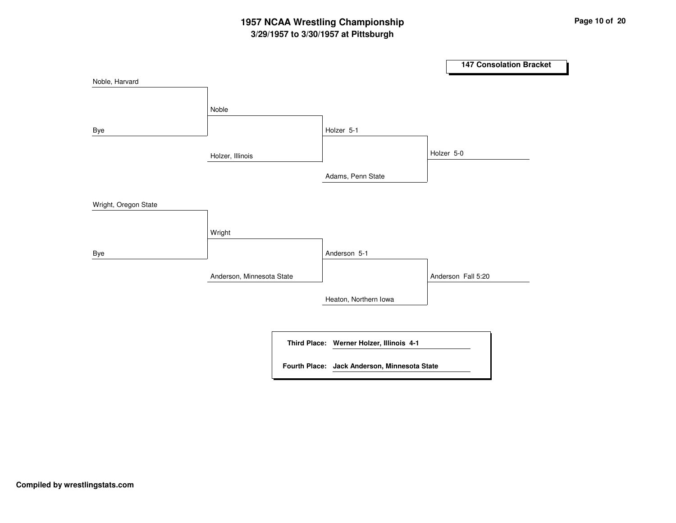# **3/29/1957 to 3/30/1957 at Pittsburgh 1957 NCAA Wrestling Championship Page <sup>10</sup> of <sup>20</sup>**

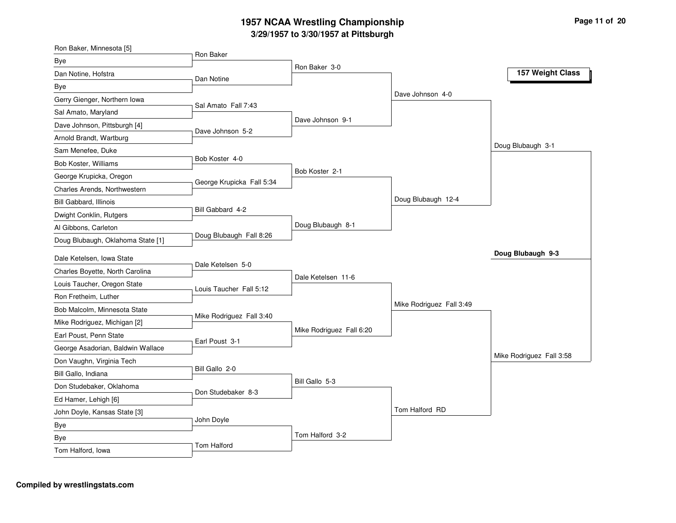# **3/29/1957 to 3/30/1957 at Pittsburgh 1957 NCAA Wrestling Championship Page <sup>11</sup> of <sup>20</sup>**

| Ron Baker, Minnesota [5]          | Ron Baker                 |                          |                          |                          |
|-----------------------------------|---------------------------|--------------------------|--------------------------|--------------------------|
| Bye                               |                           | Ron Baker 3-0            |                          |                          |
| Dan Notine, Hofstra               | Dan Notine                |                          |                          | 157 Weight Class         |
| Bye                               |                           |                          |                          |                          |
| Gerry Gienger, Northern Iowa      | Sal Amato Fall 7:43       |                          | Dave Johnson 4-0         |                          |
| Sal Amato, Maryland               |                           |                          |                          |                          |
| Dave Johnson, Pittsburgh [4]      | Dave Johnson 5-2          | Dave Johnson 9-1         |                          |                          |
| Arnold Brandt, Wartburg           |                           |                          |                          |                          |
| Sam Menefee, Duke                 |                           |                          |                          | Doug Blubaugh 3-1        |
| Bob Koster, Williams              | Bob Koster 4-0            |                          |                          |                          |
| George Krupicka, Oregon           |                           | Bob Koster 2-1           |                          |                          |
| Charles Arends, Northwestern      | George Krupicka Fall 5:34 |                          |                          |                          |
| <b>Bill Gabbard, Illinois</b>     |                           |                          | Doug Blubaugh 12-4       |                          |
| Dwight Conklin, Rutgers           | Bill Gabbard 4-2          |                          |                          |                          |
| Al Gibbons, Carleton              |                           | Doug Blubaugh 8-1        |                          |                          |
| Doug Blubaugh, Oklahoma State [1] | Doug Blubaugh Fall 8:26   |                          |                          |                          |
| Dale Ketelsen, Iowa State         |                           |                          |                          | Doug Blubaugh 9-3        |
| Charles Boyette, North Carolina   | Dale Ketelsen 5-0         |                          |                          |                          |
| Louis Taucher, Oregon State       |                           | Dale Ketelsen 11-6       |                          |                          |
| Ron Fretheim, Luther              | Louis Taucher Fall 5:12   |                          |                          |                          |
| Bob Malcolm, Minnesota State      |                           |                          | Mike Rodriguez Fall 3:49 |                          |
| Mike Rodriguez, Michigan [2]      | Mike Rodriguez Fall 3:40  |                          |                          |                          |
| Earl Poust, Penn State            |                           | Mike Rodriguez Fall 6:20 |                          |                          |
| George Asadorian, Baldwin Wallace | Earl Poust 3-1            |                          |                          |                          |
| Don Vaughn, Virginia Tech         |                           |                          |                          | Mike Rodriguez Fall 3:58 |
| Bill Gallo, Indiana               | Bill Gallo 2-0            |                          |                          |                          |
| Don Studebaker, Oklahoma          |                           | Bill Gallo 5-3           |                          |                          |
| Ed Hamer, Lehigh [6]              | Don Studebaker 8-3        |                          |                          |                          |
| John Doyle, Kansas State [3]      |                           |                          | Tom Halford RD           |                          |
| Bye                               | John Doyle                |                          |                          |                          |
| Bye                               |                           |                          |                          |                          |
|                                   |                           | Tom Halford 3-2          |                          |                          |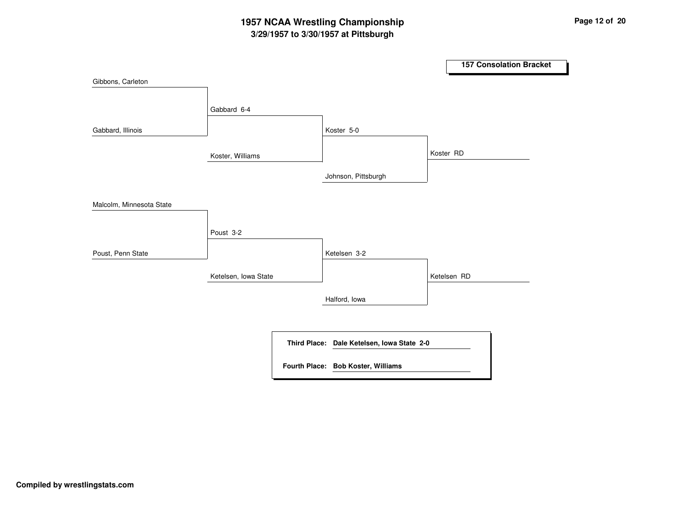# **3/29/1957 to 3/30/1957 at Pittsburgh 1957 NCAA Wrestling Championship Page <sup>12</sup> of <sup>20</sup>**

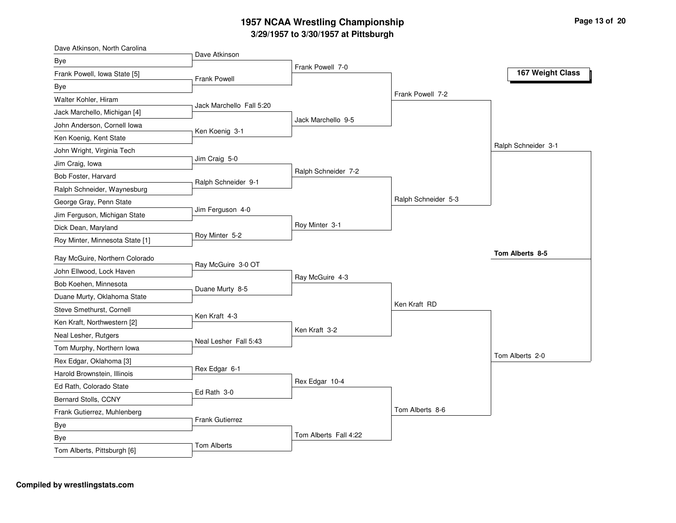| Dave Atkinson, North Carolina   | Dave Atkinson            |                       |                     |                     |
|---------------------------------|--------------------------|-----------------------|---------------------|---------------------|
| Bye                             |                          | Frank Powell 7-0      |                     |                     |
| Frank Powell, Iowa State [5]    | <b>Frank Powell</b>      |                       |                     | 167 Weight Class    |
| Bye                             |                          |                       |                     |                     |
| Walter Kohler, Hiram            |                          |                       | Frank Powell 7-2    |                     |
| Jack Marchello, Michigan [4]    | Jack Marchello Fall 5:20 |                       |                     |                     |
| John Anderson, Cornell Iowa     |                          | Jack Marchello 9-5    |                     |                     |
| Ken Koenig, Kent State          | Ken Koenig 3-1           |                       |                     |                     |
| John Wright, Virginia Tech      |                          |                       |                     | Ralph Schneider 3-1 |
| Jim Craig, Iowa                 | Jim Craig 5-0            |                       |                     |                     |
| Bob Foster, Harvard             |                          | Ralph Schneider 7-2   |                     |                     |
| Ralph Schneider, Waynesburg     | Ralph Schneider 9-1      |                       |                     |                     |
| George Gray, Penn State         |                          |                       | Ralph Schneider 5-3 |                     |
| Jim Ferguson, Michigan State    | Jim Ferguson 4-0         |                       |                     |                     |
| Dick Dean, Maryland             |                          | Roy Minter 3-1        |                     |                     |
| Roy Minter, Minnesota State [1] | Roy Minter 5-2           |                       |                     |                     |
| Ray McGuire, Northern Colorado  |                          |                       |                     | Tom Alberts 8-5     |
| John Ellwood, Lock Haven        | Ray McGuire 3-0 OT       |                       |                     |                     |
| Bob Koehen, Minnesota           |                          | Ray McGuire 4-3       |                     |                     |
| Duane Murty, Oklahoma State     | Duane Murty 8-5          |                       |                     |                     |
| Steve Smethurst, Cornell        |                          |                       | Ken Kraft RD        |                     |
| Ken Kraft, Northwestern [2]     | Ken Kraft 4-3            |                       |                     |                     |
| Neal Lesher, Rutgers            |                          | Ken Kraft 3-2         |                     |                     |
| Tom Murphy, Northern Iowa       | Neal Lesher Fall 5:43    |                       |                     |                     |
| Rex Edgar, Oklahoma [3]         |                          |                       |                     | Tom Alberts 2-0     |
| Harold Brownstein, Illinois     | Rex Edgar 6-1            |                       |                     |                     |
| Ed Rath, Colorado State         |                          | Rex Edgar 10-4        |                     |                     |
| Bernard Stolls, CCNY            | Ed Rath 3-0              |                       |                     |                     |
| Frank Gutierrez, Muhlenberg     |                          |                       | Tom Alberts 8-6     |                     |
|                                 | <b>Frank Gutierrez</b>   |                       |                     |                     |
| Bye                             |                          | Tom Alberts Fall 4:22 |                     |                     |
| Bye                             | Tom Alberts              |                       |                     |                     |
| Tom Alberts, Pittsburgh [6]     |                          |                       |                     |                     |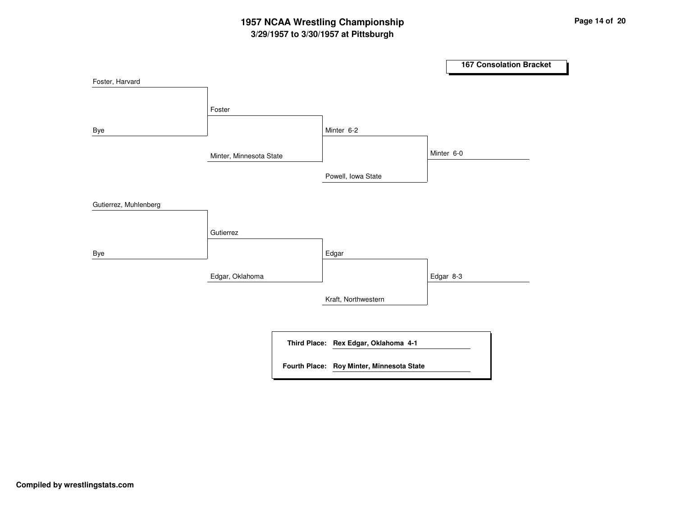# **3/29/1957 to 3/30/1957 at Pittsburgh 1957 NCAA Wrestling Championship Page <sup>14</sup> of <sup>20</sup>**

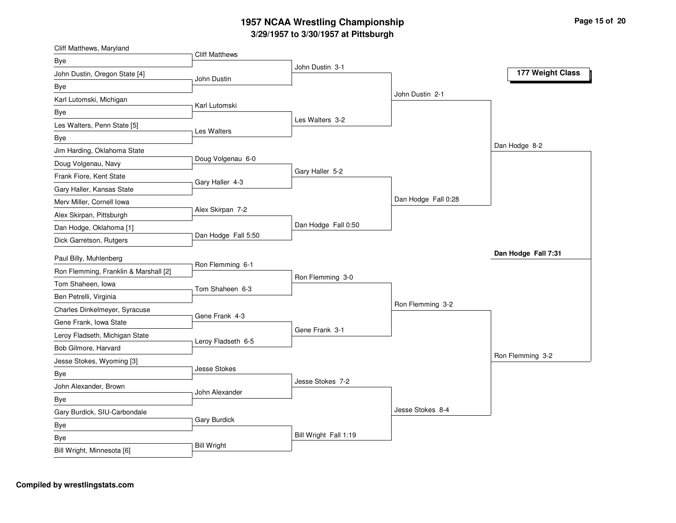| Cliff Matthews, Maryland                     | <b>Cliff Matthews</b> |                       |                     |                     |
|----------------------------------------------|-----------------------|-----------------------|---------------------|---------------------|
| Bye                                          |                       | John Dustin 3-1       |                     |                     |
| John Dustin, Oregon State [4]<br>John Dustin |                       |                       |                     | 177 Weight Class    |
| Bye                                          |                       |                       |                     |                     |
| Karl Lutomski, Michigan                      | Karl Lutomski         |                       | John Dustin 2-1     |                     |
| Bye                                          |                       |                       |                     |                     |
| Les Walters, Penn State [5]<br>Les Walters   |                       | Les Walters 3-2       |                     |                     |
| Bye                                          |                       |                       |                     |                     |
| Jim Harding, Oklahoma State                  |                       |                       |                     | Dan Hodge 8-2       |
| Doug Volgenau, Navy                          | Doug Volgenau 6-0     |                       |                     |                     |
| Frank Fiore, Kent State                      | Gary Haller 4-3       | Gary Haller 5-2       |                     |                     |
| Gary Haller, Kansas State                    |                       |                       |                     |                     |
| Merv Miller, Cornell Iowa                    |                       |                       | Dan Hodge Fall 0:28 |                     |
| Alex Skirpan, Pittsburgh                     | Alex Skirpan 7-2      |                       |                     |                     |
| Dan Hodge, Oklahoma [1]                      |                       | Dan Hodge Fall 0:50   |                     |                     |
| Dick Garretson, Rutgers                      | Dan Hodge Fall 5:50   |                       |                     |                     |
| Paul Billy, Muhlenberg                       |                       |                       |                     | Dan Hodge Fall 7:31 |
| Ron Flemming, Franklin & Marshall [2]        | Ron Flemming 6-1      |                       |                     |                     |
| Tom Shaheen, Iowa                            |                       | Ron Flemming 3-0      |                     |                     |
| Ben Petrelli, Virginia                       | Tom Shaheen 6-3       |                       |                     |                     |
| Charles Dinkelmeyer, Syracuse                |                       |                       | Ron Flemming 3-2    |                     |
| Gene Frank, Iowa State                       | Gene Frank 4-3        |                       |                     |                     |
| Leroy Fladseth, Michigan State               |                       | Gene Frank 3-1        |                     |                     |
| Bob Gilmore, Harvard                         | Leroy Fladseth 6-5    |                       |                     |                     |
| Jesse Stokes, Wyoming [3]                    |                       |                       |                     | Ron Flemming 3-2    |
| Bye                                          | Jesse Stokes          |                       |                     |                     |
| John Alexander, Brown                        |                       | Jesse Stokes 7-2      |                     |                     |
| Bye                                          | John Alexander        |                       |                     |                     |
| Gary Burdick, SIU-Carbondale                 |                       |                       | Jesse Stokes 8-4    |                     |
| Bye                                          | Gary Burdick          |                       |                     |                     |
| Bye                                          |                       | Bill Wright Fall 1:19 |                     |                     |
| <b>Bill Wright</b>                           |                       |                       |                     |                     |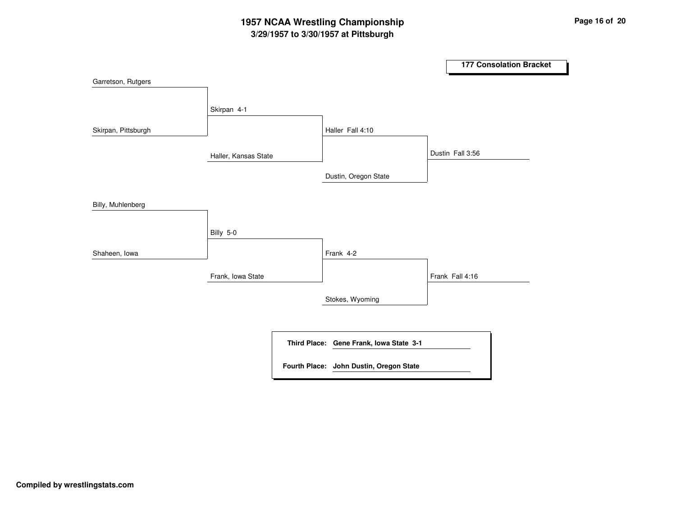# **3/29/1957 to 3/30/1957 at Pittsburgh 1957 NCAA Wrestling Championship Page <sup>16</sup> of <sup>20</sup>**

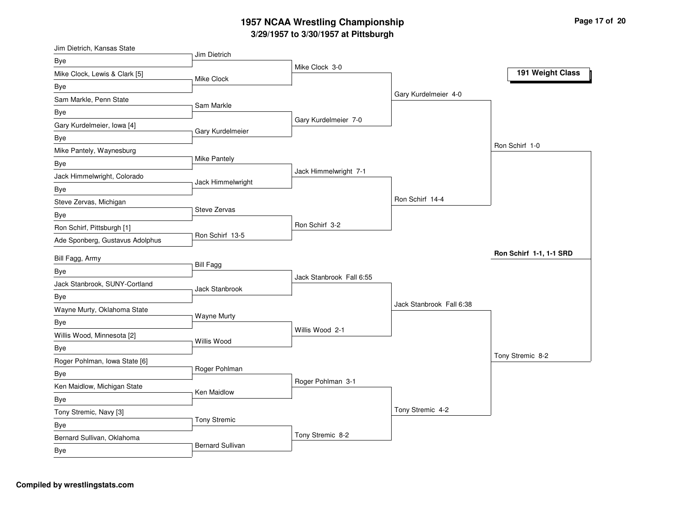| Jim Dietrich, Kansas State        |                     |                          |                          |                         |
|-----------------------------------|---------------------|--------------------------|--------------------------|-------------------------|
| Bye                               | Jim Dietrich        | Mike Clock 3-0           |                          |                         |
| Mike Clock, Lewis & Clark [5]     | <b>Mike Clock</b>   |                          |                          | 191 Weight Class        |
| Bye                               |                     |                          |                          |                         |
| Sam Markle, Penn State            |                     |                          | Gary Kurdelmeier 4-0     |                         |
| Bye                               | Sam Markle          |                          |                          |                         |
| Gary Kurdelmeier, Iowa [4]        |                     | Gary Kurdelmeier 7-0     |                          |                         |
| Bye                               | Gary Kurdelmeier    |                          |                          |                         |
| Mike Pantely, Waynesburg          |                     |                          |                          | Ron Schirf 1-0          |
| Bye                               | Mike Pantely        |                          |                          |                         |
| Jack Himmelwright, Colorado       |                     | Jack Himmelwright 7-1    |                          |                         |
| Bye                               | Jack Himmelwright   |                          |                          |                         |
| Steve Zervas, Michigan            |                     |                          | Ron Schirf 14-4          |                         |
| Bye                               | Steve Zervas        |                          |                          |                         |
| Ron Schirf, Pittsburgh [1]        |                     | Ron Schirf 3-2           |                          |                         |
| Ade Sponberg, Gustavus Adolphus   | Ron Schirf 13-5     |                          |                          |                         |
| Bill Fagg, Army                   |                     |                          |                          | Ron Schirf 1-1, 1-1 SRD |
| Bye                               | <b>Bill Fagg</b>    |                          |                          |                         |
| Jack Stanbrook, SUNY-Cortland     |                     | Jack Stanbrook Fall 6:55 |                          |                         |
| Bye                               | Jack Stanbrook      |                          |                          |                         |
| Wayne Murty, Oklahoma State       |                     |                          | Jack Stanbrook Fall 6:38 |                         |
| <b>Bye</b>                        | <b>Wayne Murty</b>  |                          |                          |                         |
| Willis Wood, Minnesota [2]        |                     |                          |                          |                         |
|                                   |                     | Willis Wood 2-1          |                          |                         |
|                                   | Willis Wood         |                          |                          |                         |
| Bye                               |                     |                          |                          | Tony Stremic 8-2        |
| Roger Pohlman, Iowa State [6]     | Roger Pohlman       |                          |                          |                         |
| Bye                               |                     | Roger Pohlman 3-1        |                          |                         |
| Ken Maidlow, Michigan State       | Ken Maidlow         |                          |                          |                         |
| Bye                               |                     |                          | Tony Stremic 4-2         |                         |
| Tony Stremic, Navy [3]            | <b>Tony Stremic</b> |                          |                          |                         |
| Bye<br>Bernard Sullivan, Oklahoma |                     | Tony Stremic 8-2         |                          |                         |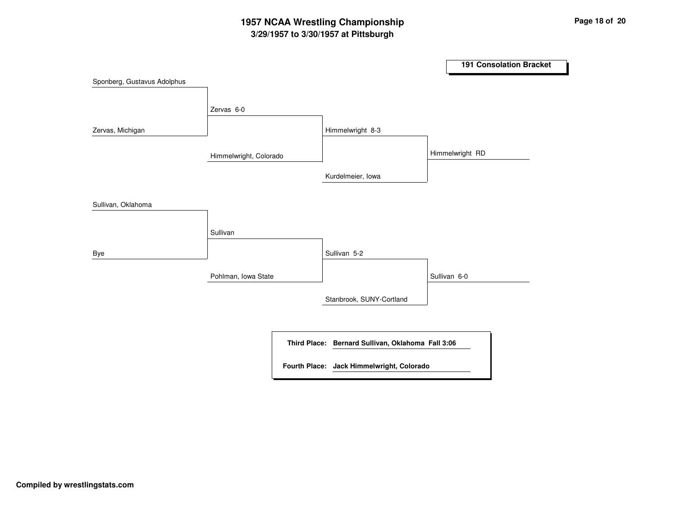# **3/29/1957 to 3/30/1957 at Pittsburgh 1957 NCAA Wrestling Championship Page <sup>18</sup> of <sup>20</sup>**

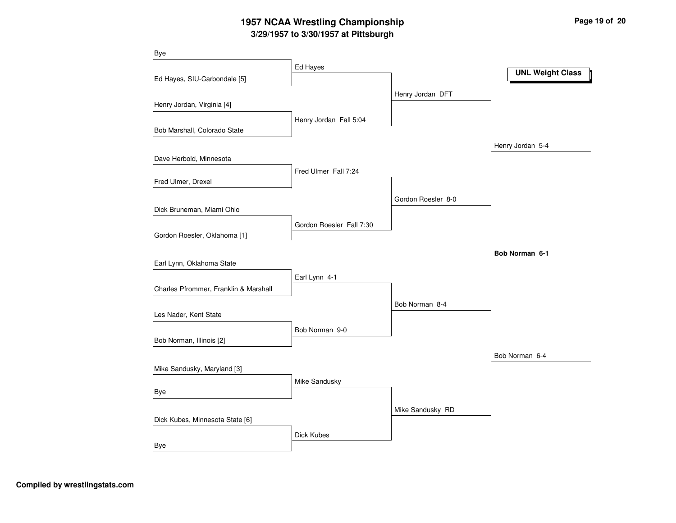# **3/29/1957 to 3/30/1957 at Pittsburgh 1957 NCAA Wrestling Championship Page <sup>19</sup> of <sup>20</sup>**

| <b>Bye</b>                            |                          |                    |                         |
|---------------------------------------|--------------------------|--------------------|-------------------------|
|                                       | Ed Hayes                 |                    | <b>UNL Weight Class</b> |
| Ed Hayes, SIU-Carbondale [5]          |                          |                    |                         |
|                                       |                          | Henry Jordan DFT   |                         |
| Henry Jordan, Virginia [4]            |                          |                    |                         |
|                                       | Henry Jordan Fall 5:04   |                    |                         |
| Bob Marshall, Colorado State          |                          |                    |                         |
|                                       |                          |                    | Henry Jordan 5-4        |
| Dave Herbold, Minnesota               |                          |                    |                         |
| Fred Ulmer, Drexel                    | Fred Ulmer Fall 7:24     |                    |                         |
|                                       |                          |                    |                         |
|                                       |                          | Gordon Roesler 8-0 |                         |
| Dick Bruneman, Miami Ohio             |                          |                    |                         |
| Gordon Roesler, Oklahoma [1]          | Gordon Roesler Fall 7:30 |                    |                         |
|                                       |                          |                    |                         |
| Earl Lynn, Oklahoma State             |                          |                    | Bob Norman 6-1          |
|                                       | Earl Lynn 4-1            |                    |                         |
| Charles Pfrommer, Franklin & Marshall |                          |                    |                         |
|                                       |                          | Bob Norman 8-4     |                         |
| Les Nader, Kent State                 |                          |                    |                         |
|                                       | Bob Norman 9-0           |                    |                         |
| Bob Norman, Illinois [2]              |                          |                    |                         |
|                                       |                          |                    | Bob Norman 6-4          |
| Mike Sandusky, Maryland [3]           |                          |                    |                         |
|                                       | Mike Sandusky            |                    |                         |
| Bye                                   |                          |                    |                         |
|                                       |                          | Mike Sandusky RD   |                         |
| Dick Kubes, Minnesota State [6]       |                          |                    |                         |
|                                       | Dick Kubes               |                    |                         |
| Bye                                   |                          |                    |                         |